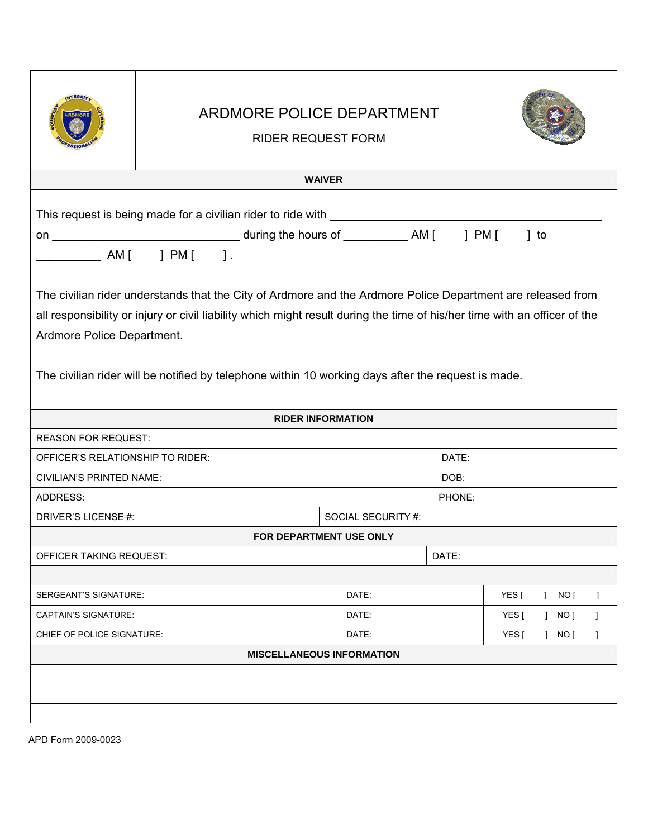|                                                                | ARDMORE POLICE DEPARTMENT<br><b>RIDER REQUEST FORM</b>                                                                                                                                                                                                                                                                                                                                                                                                                                                      |       |               |                                    |  |  |  |
|----------------------------------------------------------------|-------------------------------------------------------------------------------------------------------------------------------------------------------------------------------------------------------------------------------------------------------------------------------------------------------------------------------------------------------------------------------------------------------------------------------------------------------------------------------------------------------------|-------|---------------|------------------------------------|--|--|--|
| <b>WAIVER</b>                                                  |                                                                                                                                                                                                                                                                                                                                                                                                                                                                                                             |       |               |                                    |  |  |  |
| Ardmore Police Department.                                     | $\begin{array}{cccc} \begin{array}{cccc} \end{array} & \text{AM} \begin{bmatrix} & & \end{array} & \text{PM} \begin{bmatrix} & & \end{array} \end{array}$<br>The civilian rider understands that the City of Ardmore and the Ardmore Police Department are released from<br>all responsibility or injury or civil liability which might result during the time of his/her time with an officer of the<br>The civilian rider will be notified by telephone within 10 working days after the request is made. |       |               |                                    |  |  |  |
|                                                                |                                                                                                                                                                                                                                                                                                                                                                                                                                                                                                             |       |               |                                    |  |  |  |
|                                                                | <b>RIDER INFORMATION</b>                                                                                                                                                                                                                                                                                                                                                                                                                                                                                    |       |               |                                    |  |  |  |
| <b>REASON FOR REQUEST:</b><br>OFFICER'S RELATIONSHIP TO RIDER: |                                                                                                                                                                                                                                                                                                                                                                                                                                                                                                             |       |               |                                    |  |  |  |
| <b>CIVILIAN'S PRINTED NAME:</b>                                |                                                                                                                                                                                                                                                                                                                                                                                                                                                                                                             |       | DATE:<br>DOB: |                                    |  |  |  |
| ADDRESS:                                                       |                                                                                                                                                                                                                                                                                                                                                                                                                                                                                                             |       |               | PHONE:                             |  |  |  |
| DRIVER'S LICENSE #:<br>SOCIAL SECURITY #:                      |                                                                                                                                                                                                                                                                                                                                                                                                                                                                                                             |       |               |                                    |  |  |  |
|                                                                | FOR DEPARTMENT USE ONLY                                                                                                                                                                                                                                                                                                                                                                                                                                                                                     |       |               |                                    |  |  |  |
| <b>OFFICER TAKING REQUEST:</b>                                 |                                                                                                                                                                                                                                                                                                                                                                                                                                                                                                             |       | DATE:         |                                    |  |  |  |
|                                                                |                                                                                                                                                                                                                                                                                                                                                                                                                                                                                                             |       |               |                                    |  |  |  |
| SERGEANT'S SIGNATURE:                                          |                                                                                                                                                                                                                                                                                                                                                                                                                                                                                                             | DATE: |               | YES [<br>NO [<br>$\mathbf{1}$<br>1 |  |  |  |
| <b>CAPTAIN'S SIGNATURE:</b>                                    |                                                                                                                                                                                                                                                                                                                                                                                                                                                                                                             | DATE: |               | YES [<br>] NO [<br>$\mathbf{1}$    |  |  |  |
| CHIEF OF POLICE SIGNATURE:                                     |                                                                                                                                                                                                                                                                                                                                                                                                                                                                                                             | DATE: |               | YES [<br>$1$ NO $1$<br>-1          |  |  |  |
|                                                                | <b>MISCELLANEOUS INFORMATION</b>                                                                                                                                                                                                                                                                                                                                                                                                                                                                            |       |               |                                    |  |  |  |
|                                                                |                                                                                                                                                                                                                                                                                                                                                                                                                                                                                                             |       |               |                                    |  |  |  |
|                                                                |                                                                                                                                                                                                                                                                                                                                                                                                                                                                                                             |       |               |                                    |  |  |  |
|                                                                |                                                                                                                                                                                                                                                                                                                                                                                                                                                                                                             |       |               |                                    |  |  |  |

APD Form 2009-0023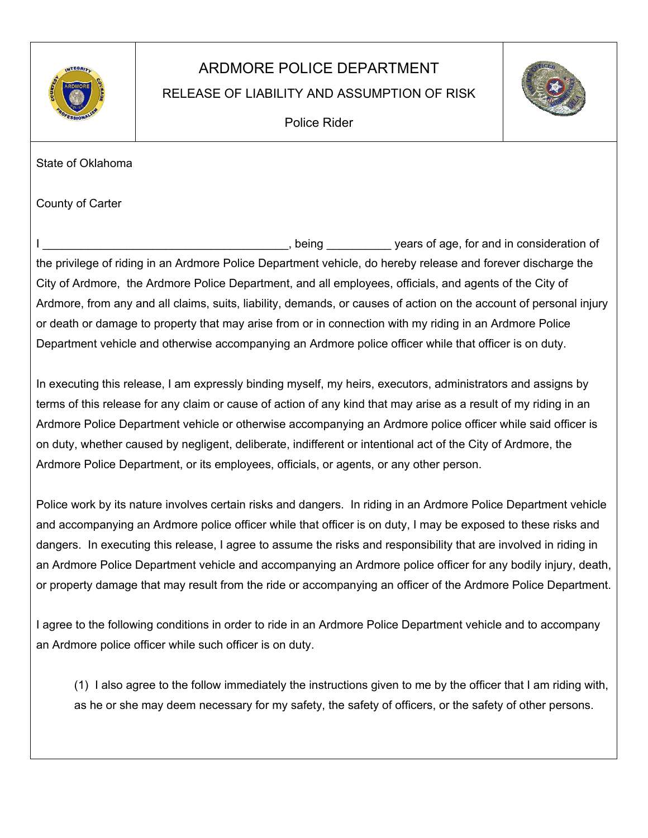

## ARDMORE POLICE DEPARTMENT

## RELEASE OF LIABILITY AND ASSUMPTION OF RISK



Police Rider

State of Oklahoma

County of Carter

I \_\_\_\_\_\_\_\_\_\_\_\_\_\_\_\_\_\_\_\_\_\_\_\_\_\_\_\_\_\_\_\_\_\_\_\_\_\_, being \_\_\_\_\_\_\_\_\_\_ years of age, for and in consideration of the privilege of riding in an Ardmore Police Department vehicle, do hereby release and forever discharge the City of Ardmore, the Ardmore Police Department, and all employees, officials, and agents of the City of Ardmore, from any and all claims, suits, liability, demands, or causes of action on the account of personal injury or death or damage to property that may arise from or in connection with my riding in an Ardmore Police Department vehicle and otherwise accompanying an Ardmore police officer while that officer is on duty.

In executing this release, I am expressly binding myself, my heirs, executors, administrators and assigns by terms of this release for any claim or cause of action of any kind that may arise as a result of my riding in an Ardmore Police Department vehicle or otherwise accompanying an Ardmore police officer while said officer is on duty, whether caused by negligent, deliberate, indifferent or intentional act of the City of Ardmore, the Ardmore Police Department, or its employees, officials, or agents, or any other person.

Police work by its nature involves certain risks and dangers. In riding in an Ardmore Police Department vehicle and accompanying an Ardmore police officer while that officer is on duty, I may be exposed to these risks and dangers. In executing this release, I agree to assume the risks and responsibility that are involved in riding in an Ardmore Police Department vehicle and accompanying an Ardmore police officer for any bodily injury, death, or property damage that may result from the ride or accompanying an officer of the Ardmore Police Department.

I agree to the following conditions in order to ride in an Ardmore Police Department vehicle and to accompany an Ardmore police officer while such officer is on duty.

(1) I also agree to the follow immediately the instructions given to me by the officer that I am riding with, as he or she may deem necessary for my safety, the safety of officers, or the safety of other persons.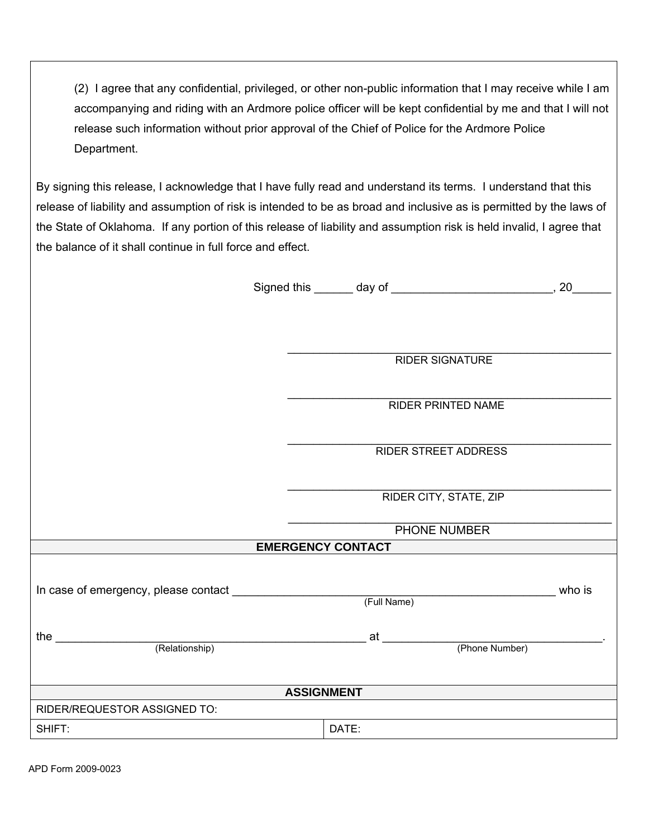(2) I agree that any confidential, privileged, or other non-public information that I may receive while I am accompanying and riding with an Ardmore police officer will be kept confidential by me and that I will not release such information without prior approval of the Chief of Police for the Ardmore Police Department.

By signing this release, I acknowledge that I have fully read and understand its terms. I understand that this release of liability and assumption of risk is intended to be as broad and inclusive as is permitted by the laws of the State of Oklahoma. If any portion of this release of liability and assumption risk is held invalid, I agree that the balance of it shall continue in full force and effect.

|                                                                                  |                             | Signed this _______ day of ________________________________, 20________ |
|----------------------------------------------------------------------------------|-----------------------------|-------------------------------------------------------------------------|
|                                                                                  |                             |                                                                         |
|                                                                                  |                             |                                                                         |
|                                                                                  | <b>RIDER SIGNATURE</b>      |                                                                         |
|                                                                                  |                             |                                                                         |
|                                                                                  |                             |                                                                         |
|                                                                                  | <b>RIDER PRINTED NAME</b>   |                                                                         |
|                                                                                  |                             |                                                                         |
|                                                                                  | <b>RIDER STREET ADDRESS</b> |                                                                         |
|                                                                                  |                             |                                                                         |
|                                                                                  | RIDER CITY, STATE, ZIP      |                                                                         |
|                                                                                  | PHONE NUMBER                |                                                                         |
|                                                                                  | <b>EMERGENCY CONTACT</b>    |                                                                         |
|                                                                                  |                             |                                                                         |
|                                                                                  | (Full Name)                 | who is                                                                  |
|                                                                                  |                             |                                                                         |
| $\overbrace{\hspace{25mm}}$ (Relationship) at $\overbrace{\hspace{25mm}}$<br>the |                             | (Phone Number)                                                          |
|                                                                                  |                             |                                                                         |
|                                                                                  |                             |                                                                         |
|                                                                                  | <b>ASSIGNMENT</b>           |                                                                         |
| RIDER/REQUESTOR ASSIGNED TO:                                                     |                             |                                                                         |
| SHIFT:                                                                           | DATE:                       |                                                                         |